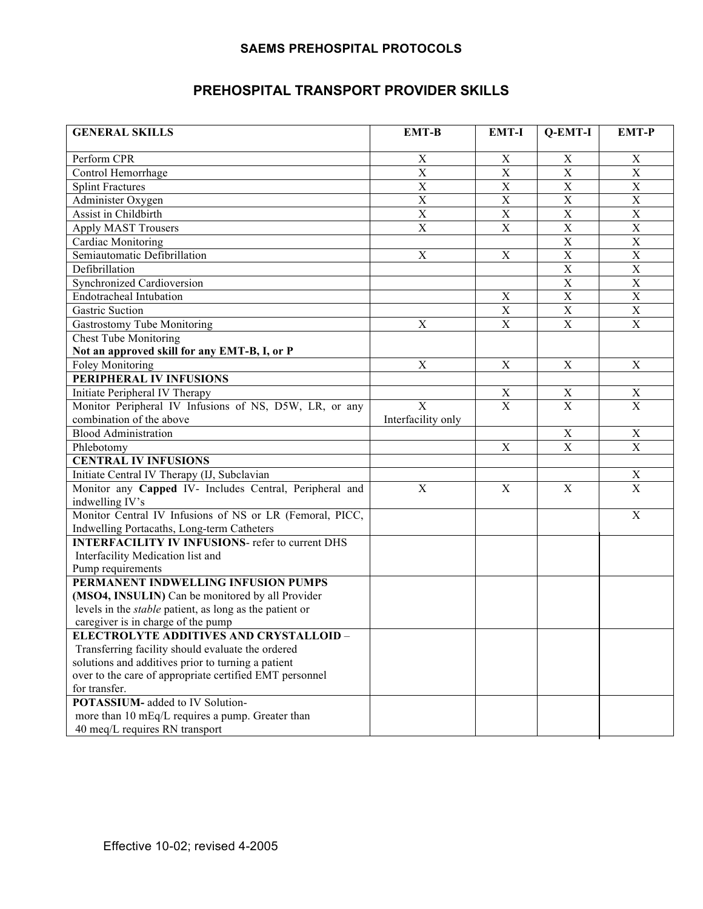## **SAEMS PREHOSPITAL PROTOCOLS**

## **PREHOSPITAL TRANSPORT PROVIDER SKILLS**

| <b>GENERAL SKILLS</b>                                                      | <b>EMT-B</b>              | <b>EMT-I</b>              | Q-EMT-I                 | <b>EMT-P</b>              |
|----------------------------------------------------------------------------|---------------------------|---------------------------|-------------------------|---------------------------|
| Perform CPR                                                                | $\mathbf X$               | $\boldsymbol{\mathrm{X}}$ | X                       | $\boldsymbol{\mathrm{X}}$ |
| Control Hemorrhage                                                         | $\mathbf X$               | $\mathbf X$               | $\mathbf X$             | $\mathbf X$               |
| <b>Splint Fractures</b>                                                    | $\mathbf X$               | $\mathbf X$               | $\mathbf X$             | $\mathbf X$               |
| Administer Oxygen                                                          | $\mathbf X$               | $\mathbf X$               | $\mathbf X$             | $\mathbf X$               |
| Assist in Childbirth                                                       | $\mathbf X$               | $\mathbf X$               | $\mathbf X$             | $\mathbf X$               |
| <b>Apply MAST Trousers</b>                                                 | $\mathbf X$               | $\mathbf X$               | $\mathbf X$             | $\mathbf X$               |
| Cardiac Monitoring                                                         |                           |                           | $\mathbf X$             | $\mathbf X$               |
| Semiautomatic Defibrillation                                               | $\boldsymbol{\mathrm{X}}$ | $\mathbf X$               | $\mathbf X$             | $\mathbf X$               |
| Defibrillation                                                             |                           |                           | $\mathbf X$             | $\mathbf X$               |
|                                                                            |                           |                           | $\mathbf X$             | $\mathbf X$               |
| Synchronized Cardioversion<br><b>Endotracheal Intubation</b>               |                           | $\mathbf X$               | $\mathbf X$             | $\mathbf X$               |
|                                                                            |                           |                           |                         |                           |
| <b>Gastric Suction</b>                                                     |                           | $\mathbf X$               | $\mathbf X$             | $\mathbf X$               |
| Gastrostomy Tube Monitoring                                                | $\boldsymbol{\mathrm{X}}$ | $\mathbf X$               | $\mathbf X$             | $\mathbf X$               |
| <b>Chest Tube Monitoring</b>                                               |                           |                           |                         |                           |
| Not an approved skill for any EMT-B, I, or P                               |                           |                           |                         |                           |
| <b>Foley Monitoring</b>                                                    | $\boldsymbol{\mathrm{X}}$ | $\mathbf X$               | $\mathbf X$             | $\mathbf X$               |
| PERIPHERAL IV INFUSIONS                                                    |                           |                           |                         |                           |
| Initiate Peripheral IV Therapy                                             |                           | $\mathbf X$               | $\mathbf X$             | $\mathbf X$               |
| Monitor Peripheral IV Infusions of NS, D5W, LR, or any                     | $\overline{X}$            | $\mathbf X$               | $\mathbf X$             | $\mathbf{X}$              |
| combination of the above                                                   | Interfacility only        |                           |                         |                           |
| <b>Blood Administration</b>                                                |                           |                           | $\mathbf X$             | $\mathbf X$               |
| Phlebotomy                                                                 |                           | $\mathbf X$               | $\overline{\mathbf{X}}$ | $\overline{X}$            |
| <b>CENTRAL IV INFUSIONS</b>                                                |                           |                           |                         |                           |
| Initiate Central IV Therapy (IJ, Subclavian                                |                           |                           |                         | $\mathbf X$               |
| Monitor any Capped IV- Includes Central, Peripheral and<br>indwelling IV's | X                         | $\mathbf X$               | $\mathbf X$             | $\mathbf X$               |
| Monitor Central IV Infusions of NS or LR (Femoral, PICC,                   |                           |                           |                         | $\mathbf X$               |
| Indwelling Portacaths, Long-term Catheters                                 |                           |                           |                         |                           |
| <b>INTERFACILITY IV INFUSIONS-</b> refer to current DHS                    |                           |                           |                         |                           |
| Interfacility Medication list and                                          |                           |                           |                         |                           |
| Pump requirements                                                          |                           |                           |                         |                           |
| PERMANENT INDWELLING INFUSION PUMPS                                        |                           |                           |                         |                           |
| (MSO4, INSULIN) Can be monitored by all Provider                           |                           |                           |                         |                           |
| levels in the <i>stable</i> patient, as long as the patient or             |                           |                           |                         |                           |
| caregiver is in charge of the pump                                         |                           |                           |                         |                           |
| <b>ELECTROLYTE ADDITIVES AND CRYSTALLOID -</b>                             |                           |                           |                         |                           |
| Transferring facility should evaluate the ordered                          |                           |                           |                         |                           |
| solutions and additives prior to turning a patient                         |                           |                           |                         |                           |
| over to the care of appropriate certified EMT personnel                    |                           |                           |                         |                           |
| for transfer.                                                              |                           |                           |                         |                           |
| <b>POTASSIUM-</b> added to IV Solution-                                    |                           |                           |                         |                           |
| more than 10 mEq/L requires a pump. Greater than                           |                           |                           |                         |                           |
| 40 meq/L requires RN transport                                             |                           |                           |                         |                           |